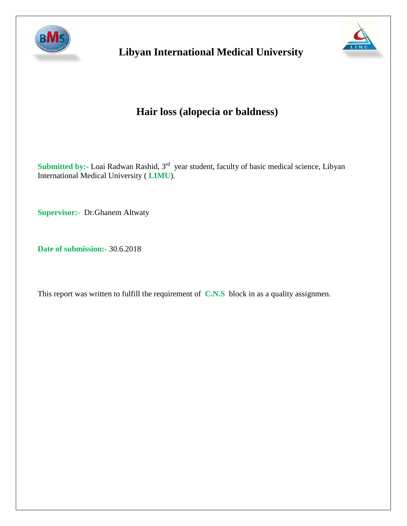

# **Libyan International Medical University**



# **Hair loss (alopecia or baldness)**

Submitted by:- Loai Radwan Rashid, 3<sup>rd</sup> year student, faculty of basic medical science, Libyan International Medical University ( **LIMU**).

**Supervisor:-** Dr.Ghanem Altwaty

**Date of submission:-** 30.6.2018

This report was written to fulfill the requirement of **C.N.S** block in as a quality assignmen.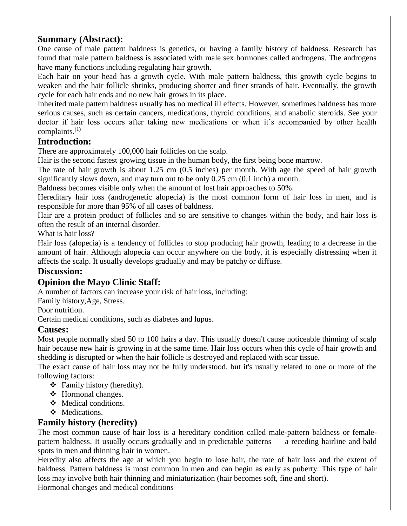# **Summary (Abstract):**

One cause of male pattern baldness is genetics, or having a family history of baldness. Research has found that male pattern baldness is associated with male sex hormones called androgens. The androgens have many functions including regulating hair growth.

Each hair on your head has a growth cycle. With male pattern baldness, this growth cycle begins to weaken and the hair follicle shrinks, producing shorter and finer strands of hair. Eventually, the growth cycle for each hair ends and no new hair grows in its place.

Inherited male pattern baldness usually has no medical ill effects. However, sometimes baldness has more serious causes, such as certain cancers, medications, thyroid conditions, and anabolic steroids. See your doctor if hair loss occurs after taking new medications or when it's accompanied by other health complaints. $(1)$ 

## **Introduction:**

There are approximately 100,000 hair follicles on the scalp.

Hair is the second fastest growing tissue in the human body, the first being bone marrow.

The rate of hair growth is about 1.25 cm (0.5 inches) per month. With age the speed of hair growth significantly slows down, and may turn out to be only 0.25 cm (0.1 inch) a month.

Baldness becomes visible only when the amount of lost hair approaches to 50%.

Hereditary hair loss (androgenetic alopecia) is the most common form of hair loss in men, and is responsible for more than 95% of all cases of baldness.

Hair are a protein product of follicles and so are sensitive to changes within the body, and hair loss is often the result of an internal disorder.

What is hair loss?

Hair loss (alopecia) is a tendency of follicles to stop producing hair growth, leading to a decrease in the amount of hair. Although alopecia can occur anywhere on the body, it is especially distressing when it affects the scalp. It usually develops gradually and may be patchy or diffuse.

# **Discussion:**

# **Opinion the Mayo Clinic Staff:**

A number of factors can increase your risk of hair loss, including:

Family history,Age, Stress.

Poor nutrition.

Certain medical conditions, such as diabetes and lupus.

## **Causes:**

Most people normally shed 50 to 100 hairs a day. This usually doesn't cause noticeable thinning of scalp hair because new hair is growing in at the same time. Hair loss occurs when this cycle of hair growth and shedding is disrupted or when the hair follicle is destroyed and replaced with scar tissue.

The exact cause of hair loss may not be fully understood, but it's usually related to one or more of the following factors:

- Family history (heredity).
- ❖ Hormonal changes.
- ❖ Medical conditions.
- Medications.

## **Family history (heredity)**

The most common cause of hair loss is a hereditary condition called male-pattern baldness or femalepattern baldness. It usually occurs gradually and in predictable patterns — a receding hairline and bald spots in men and thinning hair in women.

Heredity also affects the age at which you begin to lose hair, the rate of hair loss and the extent of baldness. Pattern baldness is most common in men and can begin as early as puberty. This type of hair loss may involve both hair thinning and miniaturization (hair becomes soft, fine and short).

Hormonal changes and medical conditions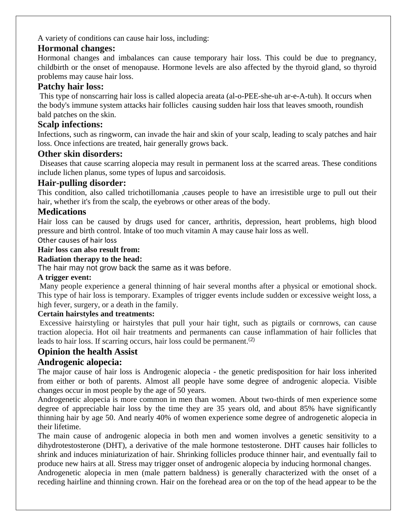A variety of conditions can cause hair loss, including:

## **Hormonal changes:**

Hormonal changes and imbalances can cause temporary hair loss. This could be due to pregnancy, childbirth or the onset of menopause. Hormone levels are also affected by the thyroid gland, so thyroid problems may cause hair loss.

## **Patchy hair loss:**

This type of nonscarring hair loss is called alopecia areata (al-o-PEE-she-uh ar-e-A-tuh). It occurs when the body's immune system attacks hair follicles causing sudden hair loss that leaves smooth, roundish bald patches on the skin.

## **Scalp infections:**

Infections, such as ringworm, can invade the hair and skin of your scalp, leading to scaly patches and hair loss. Once infections are treated, hair generally grows back.

### **Other skin disorders:**

Diseases that cause scarring alopecia may result in permanent loss at the scarred areas. These conditions include lichen planus, some types of lupus and sarcoidosis.

### **Hair-pulling disorder:**

This condition, also called trichotillomania ,causes people to have an irresistible urge to pull out their hair, whether it's from the scalp, the eyebrows or other areas of the body.

## **Medications**

Hair loss can be caused by drugs used for cancer, arthritis, depression, heart problems, high blood pressure and birth control. Intake of too much vitamin A may cause hair loss as well.

Other causes of hair loss

#### **Hair loss can also result from:**

#### **Radiation therapy to the head:**

The hair may not grow back the same as it was before.

#### **A trigger event:**

Many people experience a general thinning of hair several months after a physical or emotional shock. This type of hair loss is temporary. Examples of trigger events include sudden or excessive weight loss, a high fever, surgery, or a death in the family.

#### **Certain hairstyles and treatments:**

Excessive hairstyling or hairstyles that pull your hair tight, such as pigtails or cornrows, can cause traction alopecia. Hot oil hair treatments and permanents can cause inflammation of hair follicles that leads to hair loss. If scarring occurs, hair loss could be permanent.<sup>(2)</sup>

## **Opinion the health Assist**

## **Androgenic alopecia:**

The major cause of hair loss is Androgenic alopecia - the genetic predisposition for hair loss inherited from either or both of parents. Almost all people have some degree of androgenic alopecia. Visible changes occur in most people by the age of 50 years.

Androgenetic alopecia is more common in men than women. About two-thirds of men experience some degree of appreciable hair loss by the time they are 35 years old, and about 85% have significantly thinning hair by age 50. And nearly 40% of women experience some degree of androgenetic alopecia in their lifetime.

The main cause of androgenic alopecia in both men and women involves a genetic sensitivity to a dihydrotestosterone (DHT), a derivative of the male hormone testosterone. DHT causes hair follicles to shrink and induces miniaturization of hair. Shrinking follicles produce thinner hair, and eventually fail to produce new hairs at all. Stress may trigger onset of androgenic alopecia by inducing hormonal changes.

Androgenetic alopecia in men (male pattern baldness) is generally characterized with the onset of a receding hairline and thinning crown. Hair on the forehead area or on the top of the head appear to be the